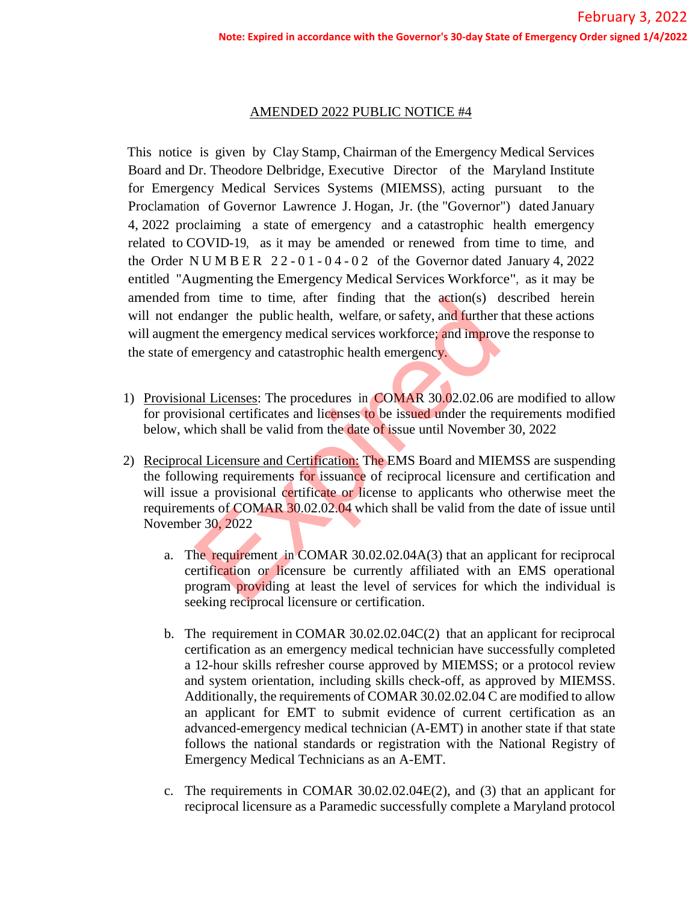## AMENDED 2022 PUBLIC NOTICE #4

This notice is given by Clay Stamp, Chairman of the Emergency Medical Services Board and Dr. Theodore Delbridge, Executive Director of the Maryland Institute for Emergency Medical Services Systems (MIEMSS), acting pursuant to the Proclamation of Governor Lawrence J. Hogan, Jr. (the "Governor") dated January 4, 2022 proclaiming a state of emergency and a catastrophic health emergency related to COVID-19, as it may be amended or renewed from time to time, and the Order NUMBER  $22 - 01 - 04 - 02$  of the Governor dated January 4, 2022 entitled "Augmenting the Emergency Medical Services Workforce", as it may be amended from time to time, after finding that the action(s) described herein will not endanger the public health, welfare, or safety, and further that these actions will augment the emergency medical services workforce; and improve the response to the state of emergency and catastrophic health emergency.

- 1) Provisional Licenses: The procedures in COMAR 30.02.02.06 are modified to allow for provisional certificates and licenses to be issued under the requirements modified below, which shall be valid from the date of issue until November 30, 2022
- 2) Reciprocal Licensure and Certification: The EMS Board and MIEMSS are suspending the following requirements for issuance of reciprocal licensure and certification and will issue a provisional certificate or license to applicants who otherwise meet the requirements of COMAR 30.02.02.04 which shall be valid from the date of issue until November 30, 2022 of the public head and MIE<br>the requirement in COMAR 30.02.02.04 and further<br>assemblance the public health, welfare, or safety, and further<br>the emergency medical services workforce; and improvement<br>emergency and catastrophi
	- a. The requirement in COMAR 30.02.02.04A(3) that an applicant for reciprocal certification or licensure be currently affiliated with an EMS operational program providing at least the level of services for which the individual is seeking reciprocal licensure or certification.
	- b. The requirement in COMAR 30.02.02.04C(2) that an applicant for reciprocal certification as an emergency medical technician have successfully completed a 12-hour skills refresher course approved by MIEMSS; or a protocol review and system orientation, including skills check-off, as approved by MIEMSS. Additionally, the requirements of COMAR 30.02.02.04 C are modified to allow an applicant for EMT to submit evidence of current certification as an advanced-emergency medical technician (A-EMT) in another state if that state follows the national standards or registration with the National Registry of Emergency Medical Technicians as an A-EMT.
	- c. The requirements in COMAR 30.02.02.04E(2), and (3) that an applicant for reciprocal licensure as a Paramedic successfully complete a Maryland protocol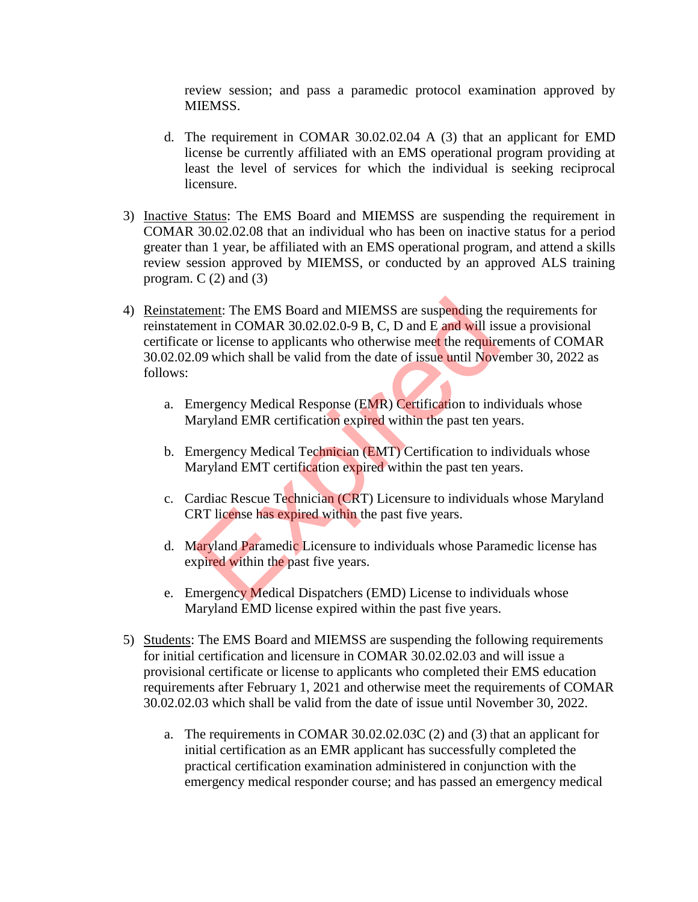review session; and pass a paramedic protocol examination approved by MIEMSS.

- d. The requirement in COMAR 30.02.02.04 A (3) that an applicant for EMD license be currently affiliated with an EMS operational program providing at least the level of services for which the individual is seeking reciprocal licensure.
- 3) Inactive Status: The EMS Board and MIEMSS are suspending the requirement in COMAR 30.02.02.08 that an individual who has been on inactive status for a period greater than 1 year, be affiliated with an EMS operational program, and attend a skills review session approved by MIEMSS, or conducted by an approved ALS training program.  $C(2)$  and  $(3)$
- 4) Reinstatement: The EMS Board and MIEMSS are suspending the requirements for reinstatement in COMAR 30.02.02.0-9 B, C, D and E and will issue a provisional certificate or license to applicants who otherwise meet the requirements of COMAR 30.02.02.09 which shall be valid from the date of issue until November 30, 2022 as follows: ment: The EMS Board and MIEMSS are suspending the<br>ment in COMAR 30.02.02.0-9 B, C, D and E and will isse or license to applicants who otherwise meet the require<br>09 which shall be valid from the date of issue until Nove<br>mer
	- a. Emergency Medical Response (EMR) Certification to individuals whose Maryland EMR certification expired within the past ten years.
	- b. Emergency Medical Technician (EMT) Certification to individuals whose Maryland EMT certification expired within the past ten years.
	- c. Cardiac Rescue Technician (CRT) Licensure to individuals whose Maryland CRT license has expired within the past five years.
	- d. Maryland Paramedic Licensure to individuals whose Paramedic license has expired within the past five years.
	- e. Emergency Medical Dispatchers (EMD) License to individuals whose Maryland EMD license expired within the past five years.
- 5) Students: The EMS Board and MIEMSS are suspending the following requirements for initial certification and licensure in COMAR 30.02.02.03 and will issue a provisional certificate or license to applicants who completed their EMS education requirements after February 1, 2021 and otherwise meet the requirements of COMAR 30.02.02.03 which shall be valid from the date of issue until November 30, 2022.
	- a. The requirements in COMAR 30.02.02.03C (2) and (3) that an applicant for initial certification as an EMR applicant has successfully completed the practical certification examination administered in conjunction with the emergency medical responder course; and has passed an emergency medical